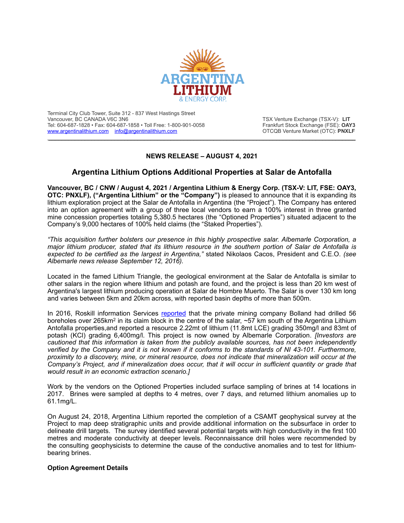

Terminal City Club Tower, Suite 312 - 837 West Hastings Street Tel: 604-687-1828 • Fax: 604-687-1858 • Toll Free: 1-800-901-0058 Frankfurt Stock Exchange (FSE): **OAY3**<br> **WWW.argentinalithium.com** info@argentinalithium.com [www.argentinalithium.com](http://www.argentinalithium.com) [info@argentinalithium.com](mailto:info@argentinalithium.com)

TSX Venture Exchange (TSX-V): LIT

# **NEWS RELEASE – AUGUST 4, 2021**

\_\_\_\_\_\_\_\_\_\_\_\_\_\_\_\_\_\_\_\_\_\_\_\_\_\_\_\_\_\_\_\_\_\_\_\_\_\_\_\_\_\_\_\_\_\_\_\_\_\_\_\_\_\_\_\_\_\_\_\_\_\_\_\_\_\_\_\_\_\_\_\_\_\_\_\_\_\_\_\_\_\_\_\_\_\_\_\_\_\_\_\_\_

# **Argentina Lithium Options Additional Properties at Salar de Antofalla**

**Vancouver, BC / CNW / August 4, 2021 / Argentina Lithium & Energy Corp. (TSX-V: LIT, FSE: OAY3, OTC: PNXLF), ("Argentina Lithium" or the "Company")** is pleased to announce that it is expanding its lithium exploration project at the Salar de Antofalla in Argentina (the "Project"). The Company has entered into an option agreement with a group of three local vendors to earn a 100% interest in three granted mine concession properties totaling 5,380.5 hectares (the "Optioned Properties") situated adjacent to the Company's 9,000 hectares of 100% held claims (the "Staked Properties").

*"This acquisition further bolsters our presence in this highly prospective salar. Albemarle Corporation, a major lithium producer, stated that its lithium resource in the southern portion of Salar de Antofalla is expected to be certified as the largest in Argentina,"* stated Nikolaos Cacos, President and C.E.O. *(see Albemarle news release September 12, 2016).*

Located in the famed Lithium Triangle, the geological environment at the Salar de Antofalla is similar to other salars in the region where lithium and potash are found, and the project is less than 20 km west of Argentina's largest lithium producing operation at Salar de Hombre Muerto. The Salar is over 130 km long and varies between 5km and 20km across, with reported basin depths of more than 500m.

In 2016, Roskill information Services [reported](https://roskill.com/news/lithium-albemarle-expands-argentina/) that the private mining company Bolland had drilled 56 boreholes over 265km<sup>2</sup> in its claim block in the centre of the salar,  $\sim 57$  km south of the Argentina Lithium Antofalla properties,and reported a resource 2.22mt of lithium (11.8mt LCE) grading 350mg/l and 83mt of potash (KCl) grading 6,400mg/l. This project is now owned by Albemarle Corporation. *[Investors are cautioned that this information is taken from the publicly available sources, has not been independently verified by the Company and it is not known if it conforms to the standards of NI 43-101. Furthermore, proximity to a discovery, mine, or mineral resource, does not indicate that mineralization will occur at the Company's Project, and if mineralization does occur, that it will occur in sufficient quantity or grade that would result in an economic extraction scenario.]*

Work by the vendors on the Optioned Properties included surface sampling of brines at 14 locations in 2017. Brines were sampled at depths to 4 metres, over 7 days, and returned lithium anomalies up to 61.1mg/L.

On August 24, 2018, Argentina Lithium reported the completion of a CSAMT geophysical survey at the Project to map deep stratigraphic units and provide additional information on the subsurface in order to delineate drill targets. The survey identified several potential targets with high conductivity in the first 100 metres and moderate conductivity at deeper levels. Reconnaissance drill holes were recommended by the consulting geophysicists to determine the cause of the conductive anomalies and to test for lithiumbearing brines.

### **Option Agreement Details**